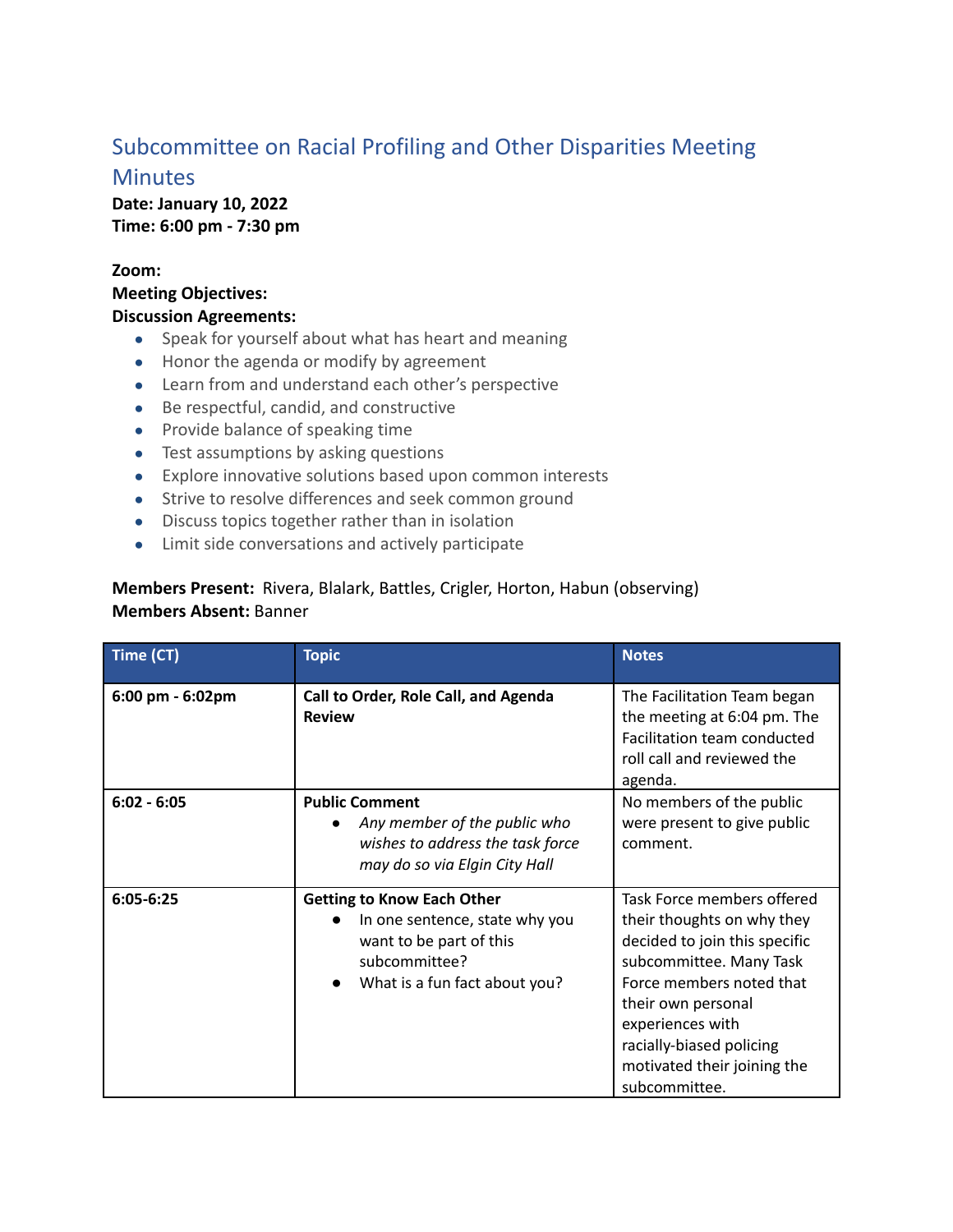## Subcommittee on Racial Profiling and Other Disparities Meeting **Minutes**

**Date: January 10, 2022 Time: 6:00 pm - 7:30 pm**

## **Zoom:**

**Meeting Objectives: Discussion Agreements:**

- Speak for yourself about what has heart and meaning
- Honor the agenda or modify by agreement
- Learn from and understand each other's perspective
- Be respectful, candid, and constructive
- Provide balance of speaking time
- Test assumptions by asking questions
- Explore innovative solutions based upon common interests
- Strive to resolve differences and seek common ground
- Discuss topics together rather than in isolation
- Limit side conversations and actively participate

## **Members Present:** Rivera, Blalark, Battles, Crigler, Horton, Habun (observing) **Members Absent:** Banner

| Time (CT)             | <b>Topic</b>                                                                                                                                     | <b>Notes</b>                                                                                                                                                                                                                                                           |
|-----------------------|--------------------------------------------------------------------------------------------------------------------------------------------------|------------------------------------------------------------------------------------------------------------------------------------------------------------------------------------------------------------------------------------------------------------------------|
| $6:00$ pm - $6:02$ pm | Call to Order, Role Call, and Agenda<br><b>Review</b>                                                                                            | The Facilitation Team began<br>the meeting at 6:04 pm. The<br>Facilitation team conducted<br>roll call and reviewed the<br>agenda.                                                                                                                                     |
| $6:02 - 6:05$         | <b>Public Comment</b><br>Any member of the public who<br>$\bullet$<br>wishes to address the task force<br>may do so via Elgin City Hall          | No members of the public<br>were present to give public<br>comment.                                                                                                                                                                                                    |
| $6:05-6:25$           | <b>Getting to Know Each Other</b><br>In one sentence, state why you<br>want to be part of this<br>subcommittee?<br>What is a fun fact about you? | Task Force members offered<br>their thoughts on why they<br>decided to join this specific<br>subcommittee. Many Task<br>Force members noted that<br>their own personal<br>experiences with<br>racially-biased policing<br>motivated their joining the<br>subcommittee. |